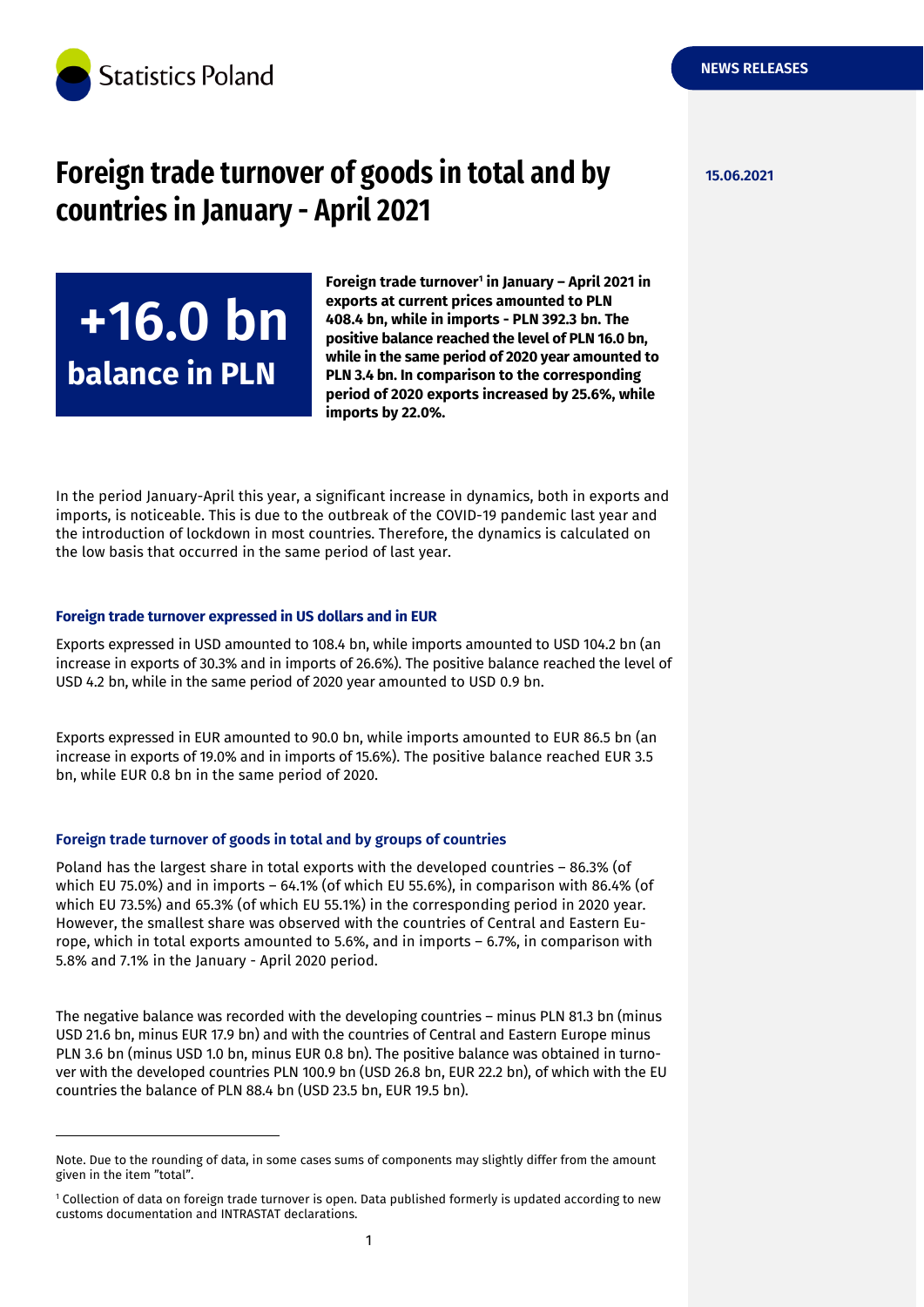

<sup>+</sup>**+16.0 bn**

**balance in PLN**

# **Foreign trade turnover of goods in total and by 15.06.2021 countries in January - April 2021**

**Foreign trade turnover<sup>1</sup> in January – April 2021 in exports at current prices amounted to PLN 408.4 bn, while in imports - PLN 392.3 bn. The positive balance reached the level of PLN 16.0 bn, while in the same period of 2020 year amounted to PLN 3.4 bn. In comparison to the corresponding period of 2020 exports increased by 25.6%, while imports by 22.0%.**

In the period January-April this year, a significant increase in dynamics, both in exports and imports, is noticeable. This is due to the outbreak of the COVID-19 pandemic last year and the introduction of lockdown in most countries. Therefore, the dynamics is calculated on the low basis that occurred in the same period of last year.

#### **Foreign trade turnover expressed in US dollars and in EUR**

Exports expressed in USD amounted to 108.4 bn, while imports amounted to USD 104.2 bn (an increase in exports of 30.3% and in imports of 26.6%). The positive balance reached the level of USD 4.2 bn, while in the same period of 2020 year amounted to USD 0.9 bn.

Exports expressed in EUR amounted to 90.0 bn, while imports amounted to EUR 86.5 bn (an increase in exports of 19.0% and in imports of 15.6%). The positive balance reached EUR 3.5 bn, while EUR 0.8 bn in the same period of 2020.

#### **Foreign trade turnover of goods in total and by groups of countries**

-

Poland has the largest share in total exports with the developed countries – 86.3% (of which EU 75.0%) and in imports – 64.1% (of which EU 55.6%), in comparison with 86.4% (of which EU 73.5%) and 65.3% (of which EU 55.1%) in the corresponding period in 2020 year. However, the smallest share was observed with the countries of Central and Eastern Europe, which in total exports amounted to 5.6%, and in imports – 6.7%, in comparison with 5.8% and 7.1% in the January - April 2020 period.

The negative balance was recorded with the developing countries – minus PLN 81.3 bn (minus USD 21.6 bn, minus EUR 17.9 bn) and with the countries of Central and Eastern Europe minus PLN 3.6 bn (minus USD 1.0 bn, minus EUR 0.8 bn). The positive balance was obtained in turnover with the developed countries PLN 100.9 bn (USD 26.8 bn, EUR 22.2 bn), of which with the EU countries the balance of PLN 88.4 bn (USD 23.5 bn, EUR 19.5 bn).

Note. Due to the rounding of data, in some cases sums of components may slightly differ from the amount given in the item "total".

<sup>1</sup> Collection of data on foreign trade turnover is open. Data published formerly is updated according to new customs documentation and INTRASTAT declarations.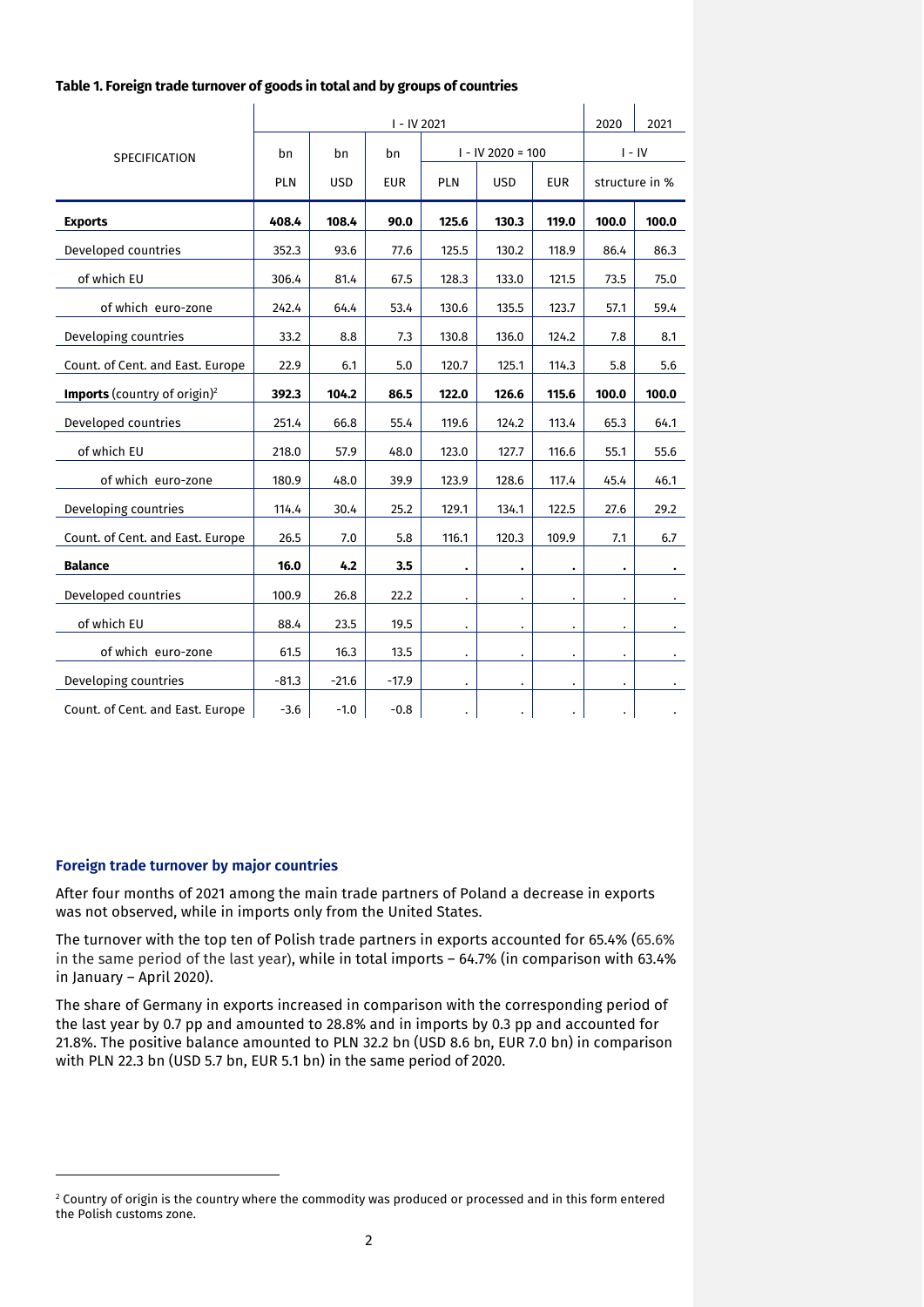|                                                 |            | 2020       | 2021       |                      |                      |                      |                      |           |
|-------------------------------------------------|------------|------------|------------|----------------------|----------------------|----------------------|----------------------|-----------|
| <b>SPECIFICATION</b>                            | bn         | bn         | bn         | $I - IV 2020 = 100$  |                      |                      | $I - IV$             |           |
|                                                 | <b>PLN</b> | <b>USD</b> | <b>EUR</b> | <b>PLN</b>           | <b>USD</b>           | <b>EUR</b>           | structure in %       |           |
| <b>Exports</b>                                  | 408.4      | 108.4      | 90.0       | 125.6                | 130.3                | 119.0                | 100.0                | 100.0     |
| Developed countries                             | 352.3      | 93.6       | 77.6       | 125.5                | 130.2                | 118.9                | 86.4                 | 86.3      |
| of which EU                                     | 306.4      | 81.4       | 67.5       | 128.3                | 133.0                | 121.5                | 73.5                 | 75.0      |
| of which euro-zone                              | 242.4      | 64.4       | 53.4       | 130.6                | 135.5                | 123.7                | 57.1                 | 59.4      |
| Developing countries                            | 33.2       | 8.8        | 7.3        | 130.8                | 136.0                | 124.2                | 7.8                  | 8.1       |
| Count. of Cent. and East. Europe                | 22.9       | 6.1        | 5.0        | 120.7                | 125.1                | 114.3                | 5.8                  | 5.6       |
| <b>Imports</b> (country of origin) <sup>2</sup> | 392.3      | 104.2      | 86.5       | 122.0                | 126.6                | 115.6                | 100.0                | 100.0     |
| Developed countries                             | 251.4      | 66.8       | 55.4       | 119.6                | 124.2                | 113.4                | 65.3                 | 64.1      |
| of which EU                                     | 218.0      | 57.9       | 48.0       | 123.0                | 127.7                | 116.6                | 55.1                 | 55.6      |
| of which euro-zone                              | 180.9      | 48.0       | 39.9       | 123.9                | 128.6                | 117.4                | 45.4                 | 46.1      |
| Developing countries                            | 114.4      | 30.4       | 25.2       | 129.1                | 134.1                | 122.5                | 27.6                 | 29.2      |
| Count. of Cent. and East. Europe                | 26.5       | 7.0        | 5.8        | 116.1                | 120.3                | 109.9                | 7.1                  | 6.7       |
| <b>Balance</b>                                  | 16.0       | 4.2        | 3.5        | $\bullet$            | ٠                    | $\bullet$            | $\bullet$            | $\bullet$ |
| Developed countries                             | 100.9      | 26.8       | 22.2       | $\ddot{\phantom{0}}$ |                      |                      |                      |           |
| of which EU                                     | 88.4       | 23.5       | 19.5       | $\bullet$            | $\ddot{\phantom{0}}$ | $\ddot{\phantom{0}}$ | $\ddot{\phantom{0}}$ |           |
| of which euro-zone                              | 61.5       | 16.3       | 13.5       | $\bullet$            | $\bullet$            | $\bullet$            |                      |           |
| Developing countries                            | $-81.3$    | $-21.6$    | $-17.9$    | $\bullet$            | $\bullet$            | $\bullet$            | $\bullet$            | $\bullet$ |
| Count. of Cent. and East. Europe                | $-3.6$     | $-1.0$     | $-0.8$     | $\ddot{\phantom{a}}$ | $\bullet$            | $\bullet$            | $\bullet$            |           |

#### **Foreign trade turnover by major countries**

-

After four months of 2021 among the main trade partners of Poland a decrease in exports was not observed, while in imports only from the United States.

The turnover with the top ten of Polish trade partners in exports accounted for 65.4% (65.6% in the same period of the last year), while in total imports – 64.7% (in comparison with 63.4% in January – April 2020).

The share of Germany in exports increased in comparison with the corresponding period of the last year by 0.7 pp and amounted to 28.8% and in imports by 0.3 pp and accounted for 21.8%. The positive balance amounted to PLN 32.2 bn (USD 8.6 bn, EUR 7.0 bn) in comparison with PLN 22.3 bn (USD 5.7 bn, EUR 5.1 bn) in the same period of 2020.

 $2$  Country of origin is the country where the commodity was produced or processed and in this form entered the Polish customs zone.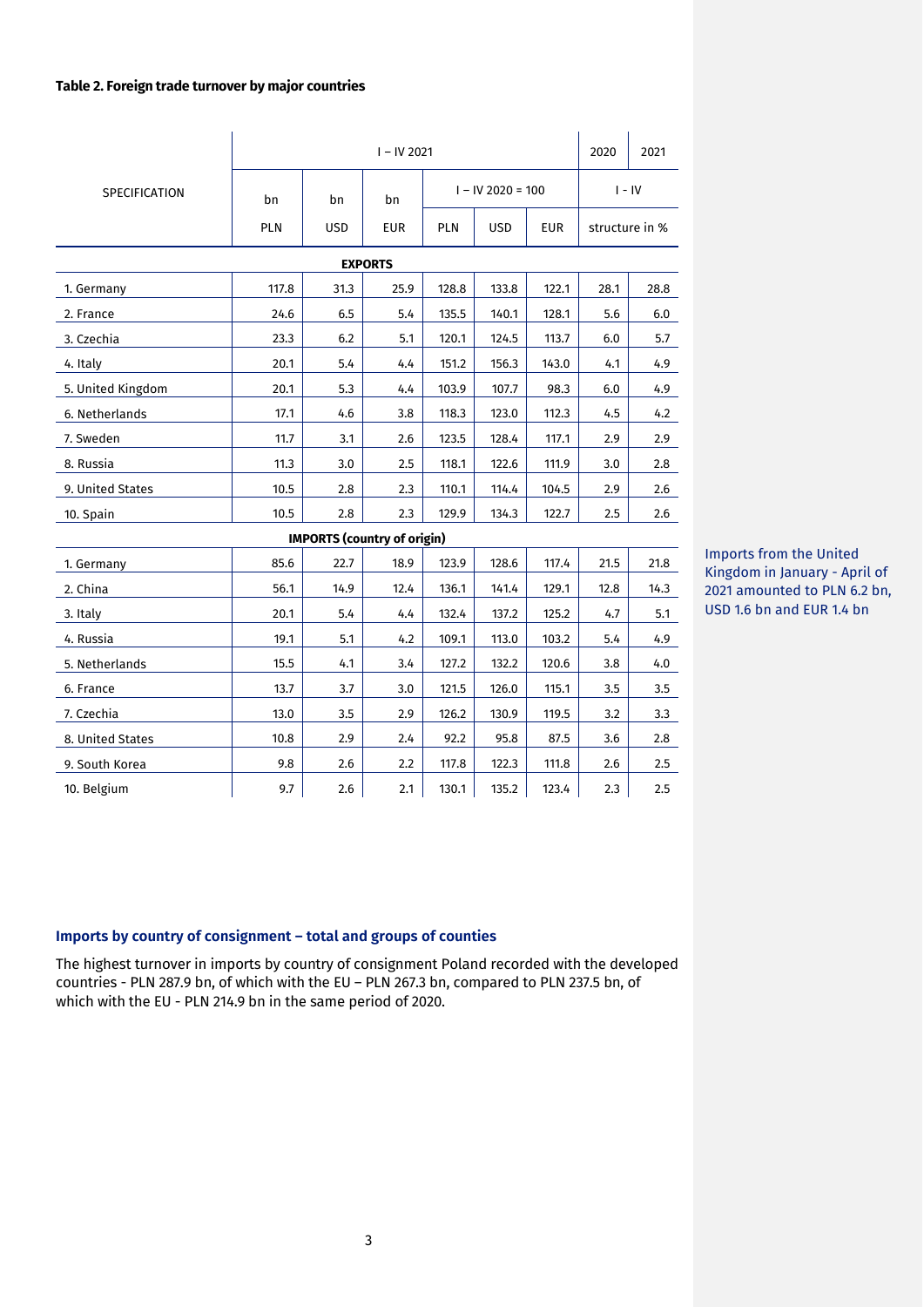#### **Table 2. Foreign trade turnover by major countries**

|                      | $I - IV 2021$ |                                    |            |            |                          |          |                | 2021 |  |  |
|----------------------|---------------|------------------------------------|------------|------------|--------------------------|----------|----------------|------|--|--|
| <b>SPECIFICATION</b> | bn            | bn                                 | bn         |            | $I - IV$ 2020 = 100      | $I - IV$ |                |      |  |  |
|                      | <b>PLN</b>    | <b>USD</b>                         | <b>EUR</b> | <b>PLN</b> | <b>EUR</b><br><b>USD</b> |          | structure in % |      |  |  |
| <b>EXPORTS</b>       |               |                                    |            |            |                          |          |                |      |  |  |
| 1. Germany           | 117.8         | 31.3                               | 25.9       | 128.8      | 133.8                    | 122.1    | 28.1           | 28.8 |  |  |
| 2. France            | 24.6          | 6.5                                | 5.4        | 135.5      | 140.1                    | 128.1    | 5.6            | 6.0  |  |  |
| 3. Czechia           | 23.3          | 6.2                                | 5.1        | 120.1      | 124.5                    | 113.7    | 6.0            | 5.7  |  |  |
| 4. Italy             | 20.1          | 5.4                                | 4.4        | 151.2      | 156.3                    | 143.0    | 4.1            | 4.9  |  |  |
| 5. United Kingdom    | 20.1          | 5.3                                | 4.4        | 103.9      | 107.7                    | 98.3     | 6.0            | 4.9  |  |  |
| 6. Netherlands       | 17.1          | 4.6                                | 3.8        | 118.3      | 123.0                    | 112.3    | 4.5            | 4.2  |  |  |
| 7. Sweden            | 11.7          | 3.1                                | 2.6        | 123.5      | 128.4                    | 117.1    | 2.9            | 2.9  |  |  |
| 8. Russia            | 11.3          | 3.0                                | 2.5        | 118.1      | 122.6                    | 111.9    | 3.0            | 2.8  |  |  |
| 9. United States     | 10.5          | 2.8                                | 2.3        | 110.1      | 114.4                    | 104.5    | 2.9            | 2.6  |  |  |
| 10. Spain            | 10.5          | 2.8                                | 2.3        | 129.9      | 134.3                    | 122.7    | 2.5            | 2.6  |  |  |
|                      |               | <b>IMPORTS (country of origin)</b> |            |            |                          |          |                |      |  |  |
| 1. Germany           | 85.6          | 22.7                               | 18.9       | 123.9      | 128.6                    | 117.4    | 21.5           | 21.8 |  |  |
| 2. China             | 56.1          | 14.9                               | 12.4       | 136.1      | 141.4                    | 129.1    | 12.8           | 14.3 |  |  |
| 3. Italy             | 20.1          | 5.4                                | 4.4        | 132.4      | 137.2                    | 125.2    | 4.7            | 5.1  |  |  |
| 4. Russia            | 19.1          | 5.1                                | 4.2        | 109.1      | 113.0                    | 103.2    | 5.4            | 4.9  |  |  |
| 5. Netherlands       | 15.5          | 4.1                                | 3.4        | 127.2      | 132.2                    | 120.6    | 3.8            | 4.0  |  |  |
| 6. France            | 13.7          | 3.7                                | 3.0        | 121.5      | 126.0                    | 115.1    | 3.5            | 3.5  |  |  |
| 7. Czechia           | 13.0          | 3.5                                | 2.9        | 126.2      | 130.9                    | 119.5    | 3.2            | 3.3  |  |  |
| 8. United States     | 10.8          | 2.9                                | 2.4        | 92.2       | 95.8                     | 87.5     | 3.6            | 2.8  |  |  |
| 9. South Korea       | 9.8           | 2.6                                | 2.2        | 117.8      | 122.3                    | 111.8    | 2.6            | 2.5  |  |  |
| 10. Belgium          | 9.7           | 2.6                                | 2.1        | 130.1      | 135.2                    | 123.4    | 2.3            | 2.5  |  |  |

Imports from the United Kingdom in January - April of 2021 amounted to PLN 6.2 bn, USD 1.6 bn and EUR 1.4 bn

# **Imports by country of consignment – total and groups of counties**

The highest turnover in imports by country of consignment Poland recorded with the developed countries - PLN 287.9 bn, of which with the EU – PLN 267.3 bn, compared to PLN 237.5 bn, of which with the EU - PLN 214.9 bn in the same period of 2020.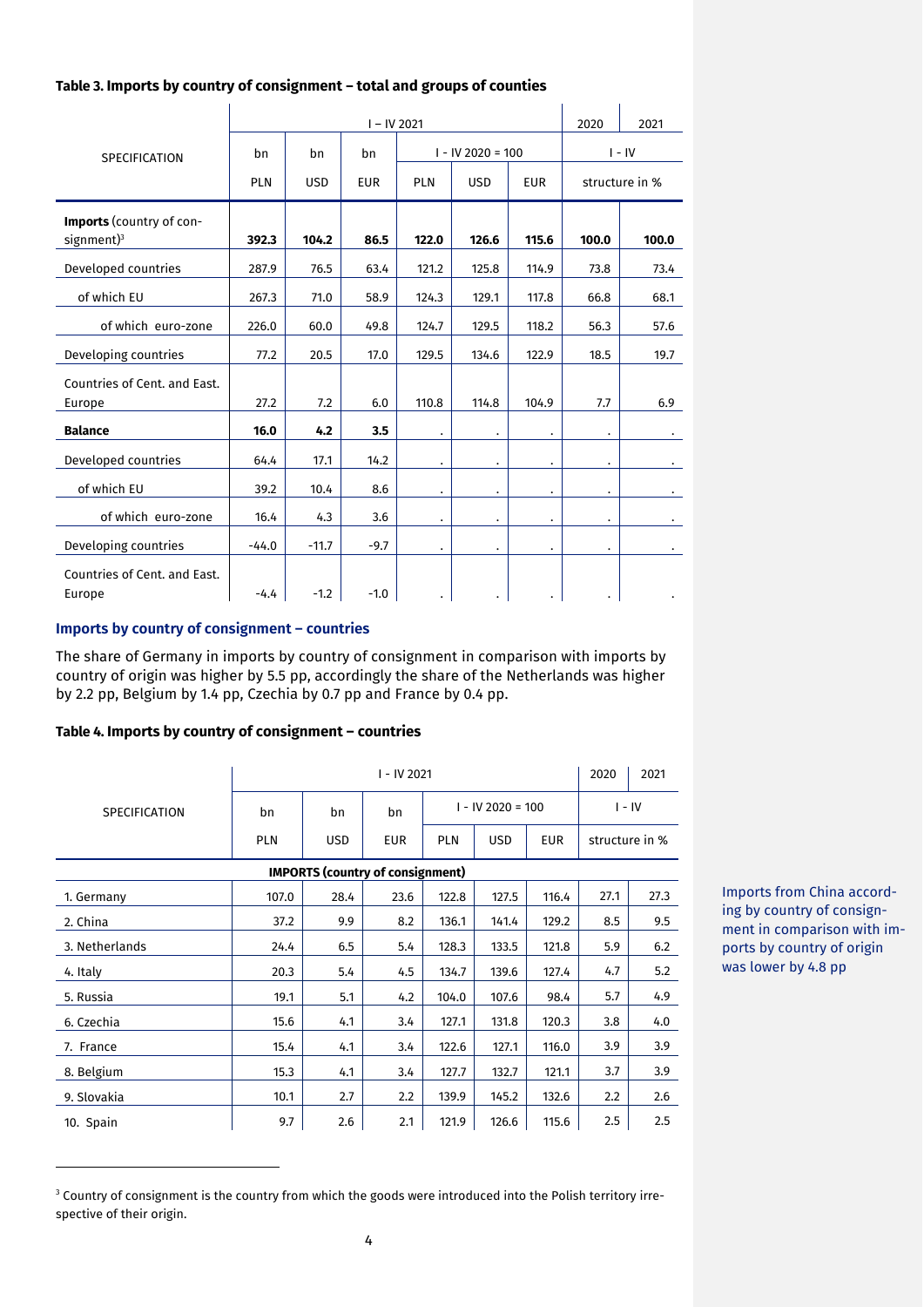## **Table 3. Imports by country of consignment – total and groups of counties**

|                                                    | $I - IV 2021$                                        |         |        |                      |                      |                      |           |       |
|----------------------------------------------------|------------------------------------------------------|---------|--------|----------------------|----------------------|----------------------|-----------|-------|
| <b>SPECIFICATION</b>                               | bn                                                   | bn      | bn     |                      | $I - IV$ 2020 = 100  | $I - IV$             |           |       |
|                                                    | <b>USD</b><br><b>PLN</b><br><b>EUR</b><br><b>PLN</b> |         |        | <b>USD</b>           | <b>EUR</b>           | structure in %       |           |       |
| Imports (country of con-<br>signment) <sup>3</sup> | 392.3                                                | 104.2   | 86.5   | 122.0                | 126.6                | 115.6                | 100.0     | 100.0 |
| Developed countries                                | 287.9                                                | 76.5    | 63.4   | 121.2                | 125.8                | 114.9                | 73.8      | 73.4  |
| of which EU                                        | 267.3                                                | 71.0    | 58.9   | 124.3                | 129.1                | 117.8                | 66.8      | 68.1  |
| of which euro-zone                                 | 226.0                                                | 60.0    | 49.8   | 124.7                | 129.5                | 118.2                | 56.3      | 57.6  |
| Developing countries                               | 77.2                                                 | 20.5    | 17.0   | 129.5                | 134.6                | 122.9                | 18.5      | 19.7  |
| Countries of Cent. and East.<br>Europe             | 27.2                                                 | 7.2     | 6.0    | 110.8                | 114.8                | 104.9                | 7.7       | 6.9   |
| <b>Balance</b>                                     | 16.0                                                 | 4.2     | 3.5    | ٠                    |                      |                      |           |       |
| Developed countries                                | 64.4                                                 | 17.1    | 14.2   | ٠                    | ٠                    |                      | $\bullet$ |       |
| of which EU                                        | 39.2                                                 | 10.4    | 8.6    | $\ddot{\phantom{0}}$ | $\bullet$            | ٠                    | $\bullet$ |       |
| of which euro-zone                                 | 16.4                                                 | 4.3     | 3.6    | $\ddot{\phantom{0}}$ | $\ddot{\phantom{0}}$ | $\ddot{\phantom{0}}$ | $\bullet$ |       |
| Developing countries                               | $-44.0$                                              | $-11.7$ | $-9.7$ |                      |                      |                      |           |       |
| Countries of Cent. and East.<br>Europe             | $-4.4$                                               | $-1.2$  | $-1.0$ |                      |                      |                      |           |       |

# **Imports by country of consignment – countries**

-

The share of Germany in imports by country of consignment in comparison with imports by country of origin was higher by 5.5 pp, accordingly the share of the Netherlands was higher by 2.2 pp, Belgium by 1.4 pp, Czechia by 0.7 pp and France by 0.4 pp.

## **Table 4. Imports by country of consignment – countries**

|                                         |            | 2020       | 2021 |                     |            |       |                |      |  |  |
|-----------------------------------------|------------|------------|------|---------------------|------------|-------|----------------|------|--|--|
| <b>SPECIFICATION</b>                    | bn         | bn         | bn   | $I - IV 2020 = 100$ |            |       | $I - IV$       |      |  |  |
|                                         | <b>PLN</b> | <b>USD</b> | EUR  | <b>PLN</b>          | <b>USD</b> | EUR   | structure in % |      |  |  |
| <b>IMPORTS (country of consignment)</b> |            |            |      |                     |            |       |                |      |  |  |
| 1. Germany                              | 107.0      | 28.4       | 23.6 | 122.8               | 127.5      | 116.4 | 27.1           | 27.3 |  |  |
| 2. China                                | 37.2       | 9.9        | 8.2  | 136.1               | 141.4      | 129.2 | 8.5            | 9.5  |  |  |
| 3. Netherlands                          | 24.4       | 6.5        | 5.4  | 128.3               | 133.5      | 121.8 | 5.9            | 6.2  |  |  |
| 4. Italy                                | 20.3       | 5.4        | 4.5  | 134.7               | 139.6      | 127.4 | 4.7            | 5.2  |  |  |
| 5. Russia                               | 19.1       | 5.1        | 4.2  | 104.0               | 107.6      | 98.4  | 5.7            | 4.9  |  |  |
| 6. Czechia                              | 15.6       | 4.1        | 3.4  | 127.1               | 131.8      | 120.3 | 3.8            | 4.0  |  |  |
| 7. France                               | 15.4       | 4.1        | 3.4  | 122.6               | 127.1      | 116.0 | 3.9            | 3.9  |  |  |
| 8. Belgium                              | 15.3       | 4.1        | 3.4  | 127.7               | 132.7      | 121.1 | 3.7            | 3.9  |  |  |
| 9. Slovakia                             | 10.1       | 2.7        | 2.2  | 139.9               | 145.2      | 132.6 | 2.2            | 2.6  |  |  |
| 10. Spain                               | 9.7        | 2.6        | 2.1  | 121.9               | 126.6      | 115.6 | 2.5            | 2.5  |  |  |

<sup>3</sup> Country of consignment is the country from which the goods were introduced into the Polish territory irrespective of their origin.

Imports from China according by country of consignment in comparison with imports by country of origin was lower by 4.8 pp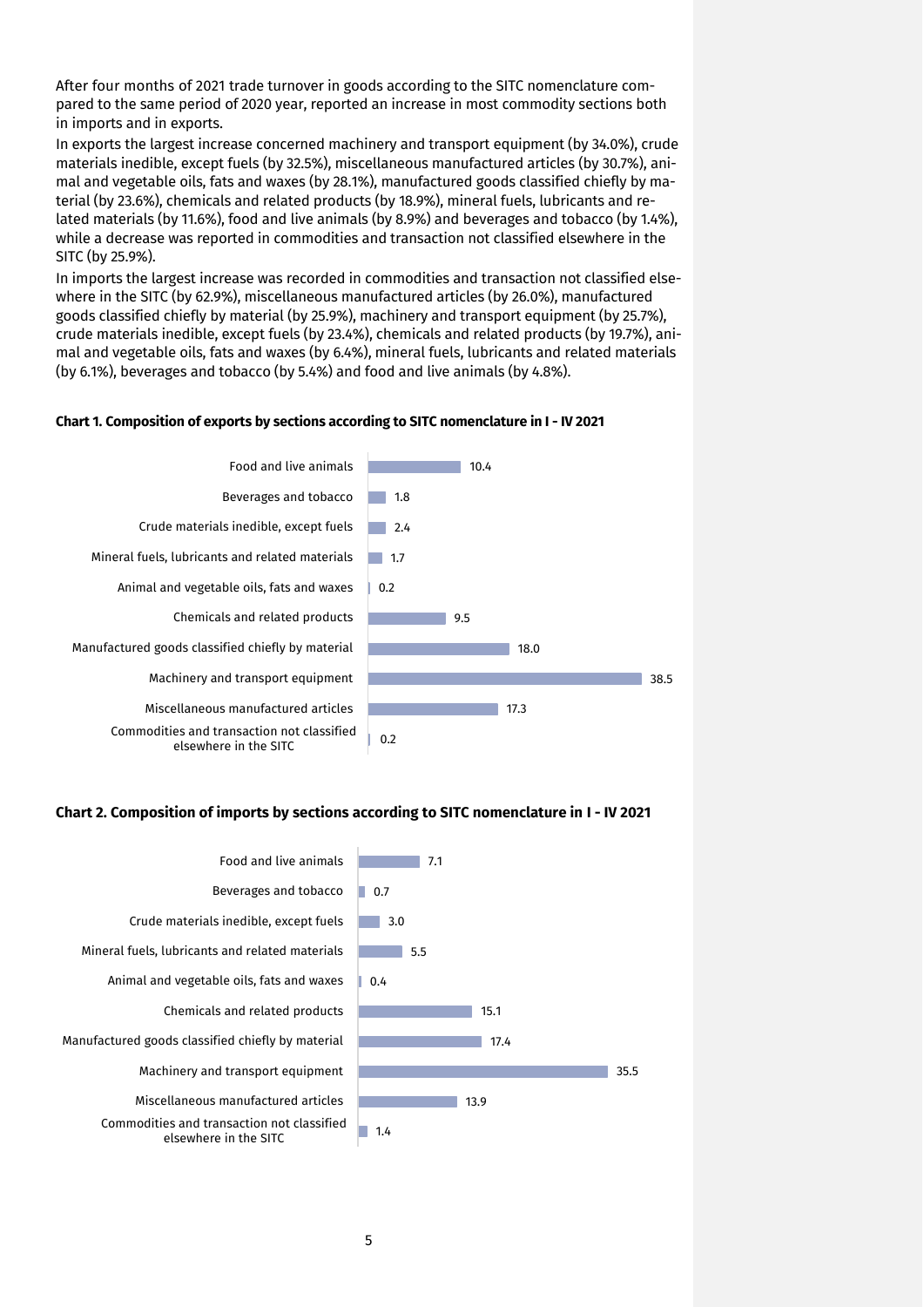After four months of 2021 trade turnover in goods according to the SITC nomenclature compared to the same period of 2020 year, reported an increase in most commodity sections both in imports and in exports.

In exports the largest increase concerned machinery and transport equipment (by 34.0%), crude materials inedible, except fuels (by 32.5%), miscellaneous manufactured articles (by 30.7%), animal and vegetable oils, fats and waxes (by 28.1%), manufactured goods classified chiefly by material (by 23.6%), chemicals and related products (by 18.9%), mineral fuels, lubricants and related materials (by 11.6%), food and live animals (by 8.9%) and beverages and tobacco (by 1.4%), while a decrease was reported in commodities and transaction not classified elsewhere in the SITC (by 25.9%).

In imports the largest increase was recorded in commodities and transaction not classified elsewhere in the SITC (by 62.9%), miscellaneous manufactured articles (by 26.0%), manufactured goods classified chiefly by material (by 25.9%), machinery and transport equipment (by 25.7%), crude materials inedible, except fuels (by 23.4%), chemicals and related products (by 19.7%), animal and vegetable oils, fats and waxes (by 6.4%), mineral fuels, lubricants and related materials (by 6.1%), beverages and tobacco (by 5.4%) and food and live animals (by 4.8%).

#### **Chart 1. Composition of exports by sections according to SITC nomenclature in I - IV 2021**



#### **Chart 2. Composition of imports by sections according to SITC nomenclature in I - IV 2021**

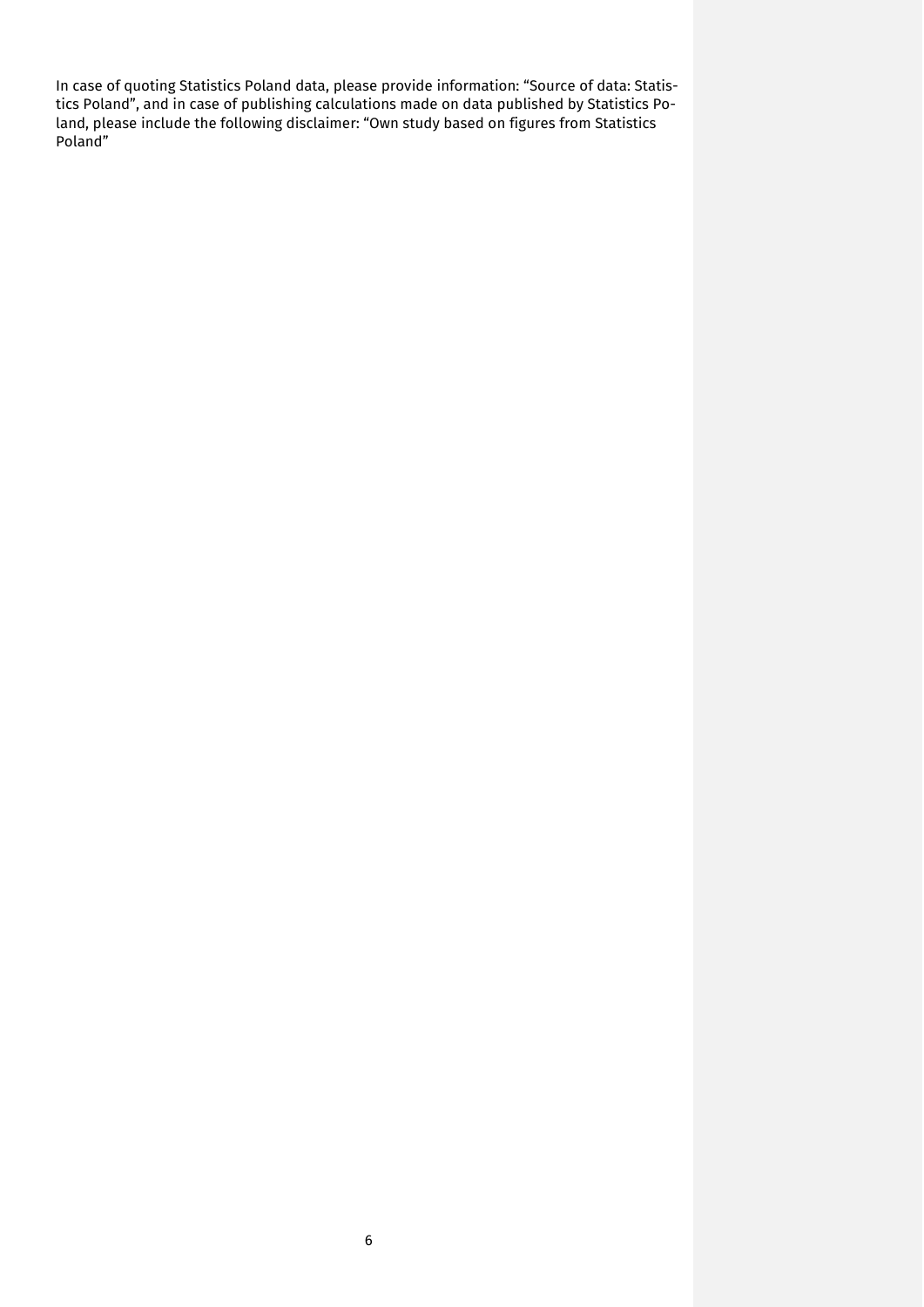In case of quoting Statistics Poland data, please provide information: "Source of data: Statistics Poland", and in case of publishing calculations made on data published by Statistics Poland, please include the following disclaimer: "Own study based on figures from Statistics Poland"